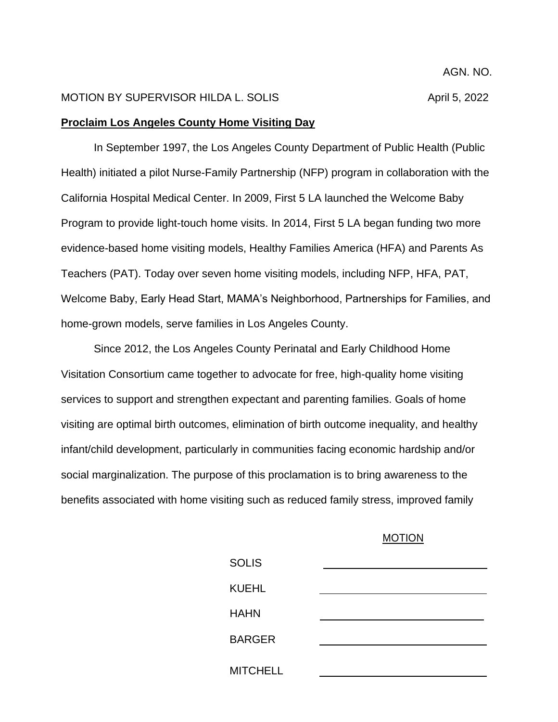## MOTION BY SUPERVISOR HILDA L. SOLIS And the state of the April 5, 2022

## **Proclaim Los Angeles County Home Visiting Day**

In September 1997, the Los Angeles County Department of Public Health (Public Health) initiated a pilot Nurse-Family Partnership (NFP) program in collaboration with the California Hospital Medical Center. In 2009, First 5 LA launched the Welcome Baby Program to provide light-touch home visits. In 2014, First 5 LA began funding two more evidence-based home visiting models, Healthy Families America (HFA) and Parents As Teachers (PAT). Today over seven home visiting models, including NFP, HFA, PAT, Welcome Baby, Early Head Start, MAMA's Neighborhood, Partnerships for Families, and home-grown models, serve families in Los Angeles County.

Since 2012, the Los Angeles County Perinatal and Early Childhood Home Visitation Consortium came together to advocate for free, high-quality home visiting services to support and strengthen expectant and parenting families. Goals of home visiting are optimal birth outcomes, elimination of birth outcome inequality, and healthy infant/child development, particularly in communities facing economic hardship and/or social marginalization. The purpose of this proclamation is to bring awareness to the benefits associated with home visiting such as reduced family stress, improved family

## MOTION

| <b>SOLIS</b>    |  |
|-----------------|--|
| <b>KUEHL</b>    |  |
| <b>HAHN</b>     |  |
| <b>BARGER</b>   |  |
| <b>MITCHELL</b> |  |